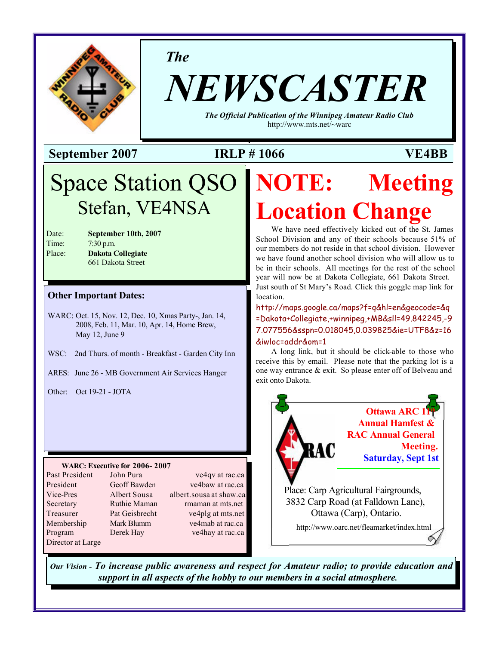

*The*

# *NEWSCASTER*

*The Official Publication of the Winnipeg Amateur Radio Club* <http://www.mts.net/~warc>

### **September 2007 IRLP # 1066 VE4BB**

### Space Station QSO Stefan, VE4NSA

| Date:  |  |
|--------|--|
| Time:  |  |
| Place: |  |

September 10th, 2007 7:30 p.m. **Dakota Collegiate** 661 Dakota Street

#### **Other Important Dates:**

- WARC: Oct. 15, Nov. 12, Dec. 10, Xmas Party-, Jan. 14, 2008, Feb. 11, Mar. 10, Apr. 14, Home Brew, May 12, June 9
- WSC: 2nd Thurs. of month Breakfast Garden City Inn
- ARES: June 26 MB Government Air Services Hanger

Other: Oct 19-21 - JOTA

#### **WARC: Executive for 2006- 2007**

| Past President    |
|-------------------|
| President         |
| Vice-Pres         |
| Secretary         |
| Treasurer         |
| Membership        |
| Program           |
| Director at Large |

John Pura ve4qv at rac.ca Geoff Bawden ve4baw at rac.ca Albert Sousa albert sousa at shaw.ca Ruthie Maman rmaman at mts.net Pat Geisbrecht ve4plg at mts.net Mark Blumm ve4mab at rac.ca Derek Hay ve4hay at rac.ca

## **NOTE: Meeting Location Change**

We have need effectively kicked out of the St. James School Division and any of their schools because 51% of our members do not reside in that school division. However we have found another school division who will allow us to be in their schools. All meetings for the rest of the school year will now be at Dakota Collegiate, 661 Dakota Street. Just south of St Mary's Road. Click this goggle map link for location.

<http://maps.google.ca/maps?f=q&hl=en&geocode=&q> =Dakota+Collegiate,+winnipeg,+MB&sll=49.842245,-9 7.077556&sspn=0.018045,0.039825&ie=UTF8&z=16 &iwloc=addr&om=1

A long link, but it should be click-able to those who receive this by email. Please note that the parking lot is a one way entrance & exit. So please enter off of Belveau and exit onto Dakota.



*Our Vision - To increase public awareness and respect for Amateur radio; to provide education and support in all aspects of the hobby to our members in a social atmosphere.*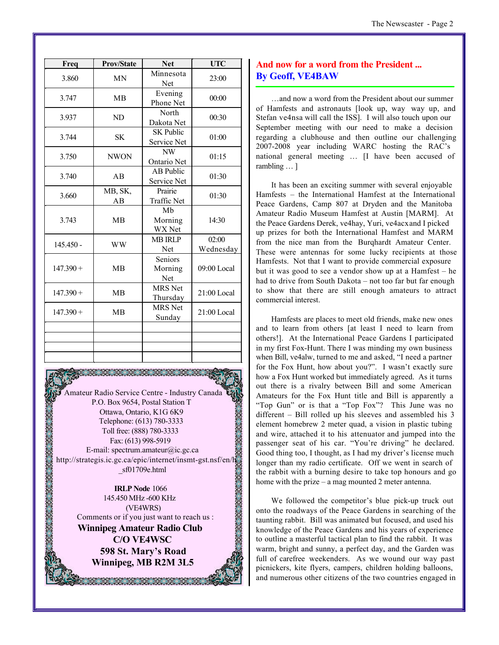| Freq        | <b>Prov/State</b> | <b>Net</b>                      | <b>UTC</b>         |  |
|-------------|-------------------|---------------------------------|--------------------|--|
| 3.860       | <b>MN</b>         | Minnesota<br>Net                | 23:00              |  |
| 3.747       | <b>MB</b>         | Evening<br>Phone Net            | 00:00              |  |
| 3.937       | ND                | North<br>Dakota Net             | 00:30              |  |
| 3.744       | <b>SK</b>         | SK Public<br>Service Net        | 01:00              |  |
| 3.750       | <b>NWON</b>       | NW<br>Ontario Net               | 01:15              |  |
| 3.740       | AB                | <b>AB</b> Public<br>Service Net | 01:30              |  |
| 3.660       | MB, SK,<br>AB     | Prairie<br>Traffic Net          | 01:30              |  |
| 3.743       | <b>MB</b>         | Mb<br>Morning<br>WX Net         | 14:30              |  |
| $145.450 -$ | <b>WW</b>         | <b>MB IRLP</b><br>Net           | 02:00<br>Wednesday |  |
| $147.390 +$ | <b>MB</b>         | Seniors<br>Morning<br>Net       | 09:00 Local        |  |
| $147.390 +$ | <b>MB</b>         | <b>MRS</b> Net<br>Thursday      | $21:00$ Local      |  |
| $147.390 +$ | <b>MB</b>         | <b>MRS</b> Net<br>Sunday        | $21:00$ Local      |  |
|             |                   |                                 |                    |  |
|             |                   |                                 |                    |  |
|             |                   |                                 |                    |  |

Amateur Radio Service Centre - Industry Canada P.O. Box 9654, Postal Station T Ottawa, Ontario, K1G 6K9 Telephone: (613) 780-3333 Toll free: (888) 780-3333 Fax: (613) 998-5919 E-mail: spectrum.amateur@ic.gc.ca <http://strategis.ic.gc.ca/epic/internet/insmt-gst.nsf/en/h> \_sf01709e.html

**IRLP Node** 1066 145.450 MHz -600 KHz (VE4WRS) Comments or if you just want to reach us : **Winnipeg Amateur Radio Club C/O VE4WSC 598 St. Mary's Road Winnipeg, MB R2M 3L5**

RA KATALOG

#### **And now for a word from the President ... By Geoff, VE4BAW**

…and now a word from the President about our summer of Hamfests and astronauts [look up, way way up, and Stefan ve4nsa will call the ISS]. I will also touch upon our September meeting with our need to make a decision regarding a clubhouse and then outline our challenging 2007-2008 year including WARC hosting the RAC's national general meeting … [I have been accused of rambling … ]

It has been an exciting summer with several enjoyable Hamfests – the International Hamfest at the International Peace Gardens, Camp 807 at Dryden and the Manitoba Amateur Radio Museum Hamfest at Austin [MARM]. At the Peace Gardens Derek, ve4hay, Yuri, ve4acx and I picked up prizes for both the International Hamfest and MARM from the nice man from the Burqhardt Amateur Center. These were antennas for some lucky recipients at those Hamfests. Not that I want to provide commercial exposure but it was good to see a vendor show up at a Hamfest – he had to drive from South Dakota – not too far but far enough to show that there are still enough amateurs to attract commercial interest.

Hamfests are places to meet old friends, make new ones and to learn from others [at least I need to learn from others!]. At the International Peace Gardens I participated in my first Fox-Hunt. There I was minding my own business when Bill, ve4alw, turned to me and asked, "I need a partner for the Fox Hunt, how about you?". I wasn't exactly sure how a Fox Hunt worked but immediately agreed. As it turns out there is a rivalry between Bill and some American Amateurs for the Fox Hunt title and Bill is apparently a "Top Gun" or is that a "Top Fox"? This June was no different – Bill rolled up his sleeves and assembled his 3 element homebrew 2 meter quad, a vision in plastic tubing and wire, attached it to his attenuator and jumped into the passenger seat of his car. "You're driving" he declared. Good thing too, I thought, as I had my driver's license much longer than my radio certificate. Off we went in search of the rabbit with a burning desire to take top honours and go home with the prize – a mag mounted 2 meter antenna.

We followed the competitor's blue pick-up truck out onto the roadways of the Peace Gardens in searching of the taunting rabbit. Bill was animated but focused, and used his knowledge of the Peace Gardens and his years of experience to outline a masterful tactical plan to find the rabbit. It was warm, bright and sunny, a perfect day, and the Garden was full of carefree weekenders. As we wound our way past picnickers, kite flyers, campers, children holding balloons, and numerous other citizens of the two countries engaged in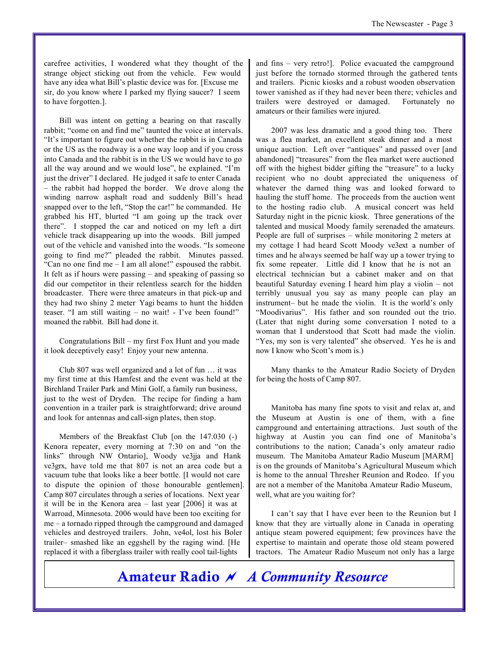carefree activities, I wondered what they thought of the strange object sticking out from the vehicle. Few would have any idea what Bill's plastic device was for. [Excuse me sir, do you know where I parked my flying saucer? I seem to have forgotten.].

Bill was intent on getting a bearing on that rascally rabbit; "come on and find me" taunted the voice at intervals. "It's important to figure out whether the rabbit is in Canada or the US as the roadway is a one way loop and if you cross into Canada and the rabbit is in the US we would have to go all the way around and we would lose", he explained. "I'm just the driver" I declared. He judged it safe to enter Canada – the rabbit had hopped the border. We drove along the winding narrow asphalt road and suddenly Bill's head snapped over to the left, "Stop the car!" he commanded. He grabbed his HT, blurted "I am going up the track over there". I stopped the car and noticed on my left a dirt vehicle track disappearing up into the woods. Bill jumped out of the vehicle and vanished into the woods. "Is someone going to find me?" pleaded the rabbit. Minutes passed. "Can no one find me – I am all alone!" espoused the rabbit. It felt as if hours were passing – and speaking of passing so did our competitor in their relentless search for the hidden broadcaster. There were three amateurs in that pick-up and they had two shiny 2 meter Yagi beams to hunt the hidden teaser. "I am still waiting – no wait! - I've been found!" moaned the rabbit. Bill had done it.

Congratulations Bill – my first Fox Hunt and you made it look deceptively easy! Enjoy your new antenna.

Club 807 was well organized and a lot of fun … it was my first time at this Hamfest and the event was held at the Birchland Trailer Park and Mini Golf, a family run business, just to the west of Dryden. The recipe for finding a ham convention in a trailer park is straightforward; drive around and look for antennas and call-sign plates, then stop.

Members of the Breakfast Club [on the 147.030 (-) Kenora repeater, every morning at 7:30 on and "on the links" through NW Ontario], Woody ve3jja and Hank ve3grx, have told me that 807 is not an area code but a vacuum tube that looks like a beer bottle. [I would not care to dispute the opinion of those honourable gentlemen]. Camp 807 circulates through a series of locations. Next year it will be in the Kenora area – last year [2006] it was at Warroad, Minnesota. 2006 would have been too exciting for me – a tornado ripped through the campground and damaged vehicles and destroyed trailers. John, ve4ol, lost his Boler trailer– smashed like an eggshell by the raging wind. [He replaced it with a fiberglass trailer with really cool tail-lights

and fins – very retro!]. Police evacuated the campground just before the tornado stormed through the gathered tents and trailers. Picnic kiosks and a robust wooden observation tower vanished as if they had never been there; vehicles and trailers were destroyed or damaged. Fortunately no amateurs or their families were injured.

2007 was less dramatic and a good thing too. There was a flea market, an excellent steak dinner and a most unique auction. Left over "antiques" and passed over [and abandoned] "treasures" from the flea market were auctioned off with the highest bidder gifting the "treasure" to a lucky recipient who no doubt appreciated the uniqueness of whatever the darned thing was and looked forward to hauling the stuff home. The proceeds from the auction went to the hosting radio club. A musical concert was held Saturday night in the picnic kiosk. Three generations of the talented and musical Moody family serenaded the amateurs. People are full of surprises – while monitoring 2 meters at my cottage I had heard Scott Moody ve3ext a number of times and he always seemed be half way up a tower trying to fix some repeater. Little did I know that he is not an electrical technician but a cabinet maker and on that beautiful Saturday evening I heard him play a violin – not terribly unusual you say as many people can play an instrument– but he made the violin. It is the world's only "Moodivarius". His father and son rounded out the trio. (Later that night during some conversation I noted to a woman that I understood that Scott had made the violin. "Yes, my son is very talented" she observed. Yes he is and now I know who Scott's mom is.)

Many thanks to the Amateur Radio Society of Dryden for being the hosts of Camp 807.

Manitoba has many fine spots to visit and relax at, and the Museum at Austin is one of them, with a fine campground and entertaining attractions. Just south of the highway at Austin you can find one of Manitoba's contributions to the nation; Canada's only amateur radio museum. The Manitoba Amateur Radio Museum [MARM] is on the grounds of Manitoba's Agricultural Museum which is home to the annual Thresher Reunion and Rodeo. If you are not a member of the Manitoba Amateur Radio Museum, well, what are you waiting for?

I can't say that I have ever been to the Reunion but I know that they are virtually alone in Canada in operating antique steam powered equipment; few provinces have the expertise to maintain and operate those old steam powered tractors. The Amateur Radio Museum not only has a large

**Amateur Radio** *~ A Community Resource*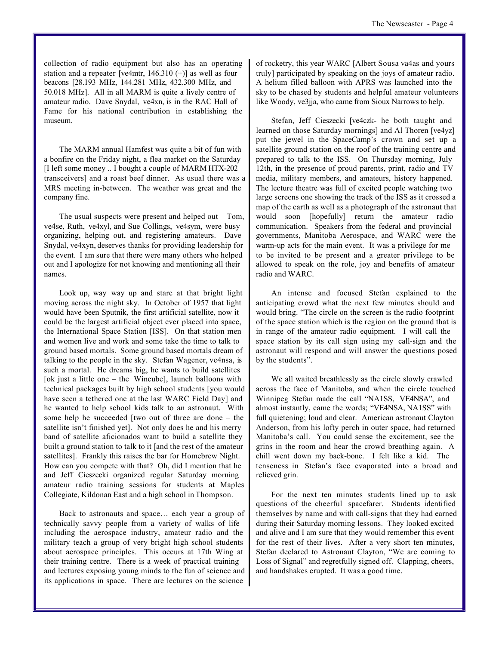collection of radio equipment but also has an operating station and a repeater [ve4mtr, 146.310 (+)] as well as four beacons [28.193 MHz, 144.281 MHz, 432.300 MHz, and 50.018 MHz]. All in all MARM is quite a lively centre of amateur radio. Dave Snydal, ve4xn, is in the RAC Hall of Fame for his national contribution in establishing the museum.

The MARM annual Hamfest was quite a bit of fun with a bonfire on the Friday night, a flea market on the Saturday [I left some money .. I bought a couple of MARM HTX-202 transceivers] and a roast beef dinner. As usual there was a MRS meeting in-between. The weather was great and the company fine.

The usual suspects were present and helped out  $-$  Tom, ve4se, Ruth, ve4xyl, and Sue Collings, ve4sym, were busy organizing, helping out, and registering amateurs. Dave Snydal, ve4xyn, deserves thanks for providing leadership for the event. I am sure that there were many others who helped out and I apologize for not knowing and mentioning all their names.

Look up, way way up and stare at that bright light moving across the night sky. In October of 1957 that light would have been Sputnik, the first artificial satellite, now it could be the largest artificial object ever placed into space, the International Space Station [ISS]. On that station men and women live and work and some take the time to talk to ground based mortals. Some ground based mortals dream of talking to the people in the sky. Stefan Wagener, ve4nsa, is such a mortal. He dreams big, he wants to build satellites [ok just a little one – the Wincube], launch balloons with technical packages built by high school students [you would have seen a tethered one at the last WARC Field Day] and he wanted to help school kids talk to an astronaut. With some help he succeeded [two out of three are done – the satellite isn't finished yet]. Not only does he and his merry band of satellite aficionados want to build a satellite they built a ground station to talk to it [and the rest of the amateur satellites]. Frankly this raises the bar for Homebrew Night. How can you compete with that? Oh, did I mention that he and Jeff Cieszecki organized regular Saturday morning amateur radio training sessions for students at Maples Collegiate, Kildonan East and a high school in Thompson.

Back to astronauts and space… each year a group of technically savvy people from a variety of walks of life including the aerospace industry, amateur radio and the military teach a group of very bright high school students about aerospace principles. This occurs at 17th Wing at their training centre. There is a week of practical training and lectures exposing young minds to the fun of science and its applications in space. There are lectures on the science of rocketry, this year WARC [Albert Sousa va4as and yours truly] participated by speaking on the joys of amateur radio. A helium filled balloon with APRS was launched into the sky to be chased by students and helpful amateur volunteers like Woody, ve3jja, who came from Sioux Narrows to help.

Stefan, Jeff Cieszecki [ve4czk- he both taught and learned on those Saturday mornings] and Al Thoren [ve4yz] put the jewel in the SpaceCamp's crown and set up a satellite ground station on the roof of the training centre and prepared to talk to the ISS. On Thursday morning, July 12th, in the presence of proud parents, print, radio and TV media, military members, and amateurs, history happened. The lecture theatre was full of excited people watching two large screens one showing the track of the ISS as it crossed a map of the earth as well as a photograph of the astronaut that would soon [hopefully] return the amateur radio communication. Speakers from the federal and provincial governments, Manitoba Aerospace, and WARC were the warm-up acts for the main event. It was a privilege for me to be invited to be present and a greater privilege to be allowed to speak on the role, joy and benefits of amateur radio and WARC.

An intense and focused Stefan explained to the anticipating crowd what the next few minutes should and would bring. "The circle on the screen is the radio footprint of the space station which is the region on the ground that is in range of the amateur radio equipment. I will call the space station by its call sign using my call-sign and the astronaut will respond and will answer the questions posed by the students".

We all waited breathlessly as the circle slowly crawled across the face of Manitoba, and when the circle touched Winnipeg Stefan made the call "NA1SS, VE4NSA", and almost instantly, came the words; "VE4NSA, NA1SS" with full quietening; loud and clear. American astronaut Clayton Anderson, from his lofty perch in outer space, had returned Manitoba's call. You could sense the excitement, see the grins in the room and hear the crowd breathing again. A chill went down my back-bone. I felt like a kid. The tenseness in Stefan's face evaporated into a broad and relieved grin.

For the next ten minutes students lined up to ask questions of the cheerful spacefarer. Students identified themselves by name and with call-signs that they had earned during their Saturday morning lessons. They looked excited and alive and I am sure that they would remember this event for the rest of their lives. After a very short ten minutes, Stefan declared to Astronaut Clayton, "We are coming to Loss of Signal" and regretfully signed off. Clapping, cheers, and handshakes erupted. It was a good time.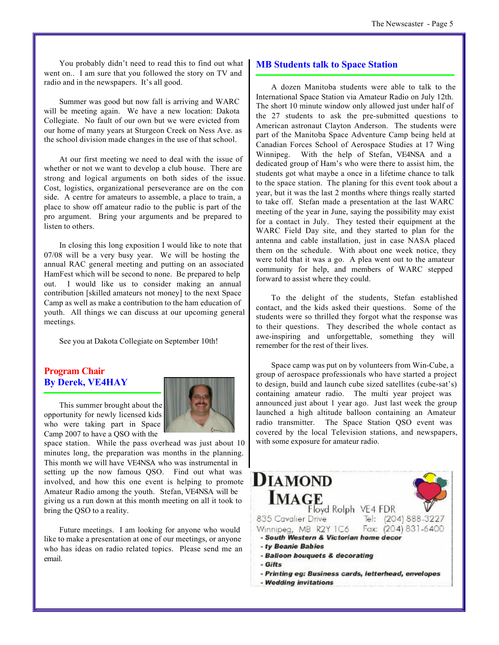You probably didn't need to read this to find out what went on.. I am sure that you followed the story on TV and radio and in the newspapers. It's all good.

Summer was good but now fall is arriving and WARC will be meeting again. We have a new location: Dakota Collegiate. No fault of our own but we were evicted from our home of many years at Sturgeon Creek on Ness Ave. as the school division made changes in the use of that school.

At our first meeting we need to deal with the issue of whether or not we want to develop a club house. There are strong and logical arguments on both sides of the issue. Cost, logistics, organizational perseverance are on the con side. A centre for amateurs to assemble, a place to train, a place to show off amateur radio to the public is part of the pro argument. Bring your arguments and be prepared to listen to others.

In closing this long exposition I would like to note that 07/08 will be a very busy year. We will be hosting the annual RAC general meeting and putting on an associated HamFest which will be second to none. Be prepared to help out. I would like us to consider making an annual contribution [skilled amateurs not money] to the next Space Camp as well as make a contribution to the ham education of youth. All things we can discuss at our upcoming general meetings.

See you at Dakota Collegiate on September 10th!

#### **Program Chair By Derek, VE4HAY**

This summer brought about the opportunity for newly licensed kids who were taking part in Space Camp 2007 to have a QSO with the



space station. While the pass overhead was just about 10 minutes long, the preparation was months in the planning. This month we will have VE4NSA who was instrumental in setting up the now famous QSO. Find out what was involved, and how this one event is helping to promote Amateur Radio among the youth. Stefan, VE4NSA will be giving us a run down at this month meeting on all it took to bring the QSO to a reality.

Future meetings. I am looking for anyone who would like to make a presentation at one of our meetings, or anyone who has ideas on radio related topics. Please send me an email.

#### **MB Students talk to Space Station**

A dozen Manitoba students were able to talk to the International Space Station via Amateur Radio on July 12th. The short 10 minute window only allowed just under half of the 27 students to ask the pre-submitted questions to American astronaut Clayton Anderson. The students were part of the Manitoba Space Adventure Camp being held at Canadian Forces School of Aerospace Studies at 17 Wing Winnipeg. With the help of Stefan, VE4NSA and a dedicated group of Ham's who were there to assist him, the students got what maybe a once in a lifetime chance to talk to the space station. The planing for this event took about a year, but it was the last 2 months where things really started to take off. Stefan made a presentation at the last WARC meeting of the year in June, saying the possibility may exist for a contact in July. They tested their equipment at the WARC Field Day site, and they started to plan for the antenna and cable installation, just in case NASA placed them on the schedule. With about one week notice, they were told that it was a go. A plea went out to the amateur community for help, and members of WARC stepped forward to assist where they could.

To the delight of the students, Stefan established contact, and the kids asked their questions. Some of the students were so thrilled they forgot what the response was to their questions. They described the whole contact as awe-inspiring and unforgettable, something they will remember for the rest of their lives.

Space camp was put on by volunteers from Win-Cube, a group of aerospace professionals who have started a project to design, build and launch cube sized satellites (cube-sat's) containing amateur radio. The multi year project was announced just about 1 year ago. Just last week the group launched a high altitude balloon containing an Amateur radio transmitter. The Space Station QSO event was covered by the local Television stations, and newspapers, with some exposure for amateur radio.

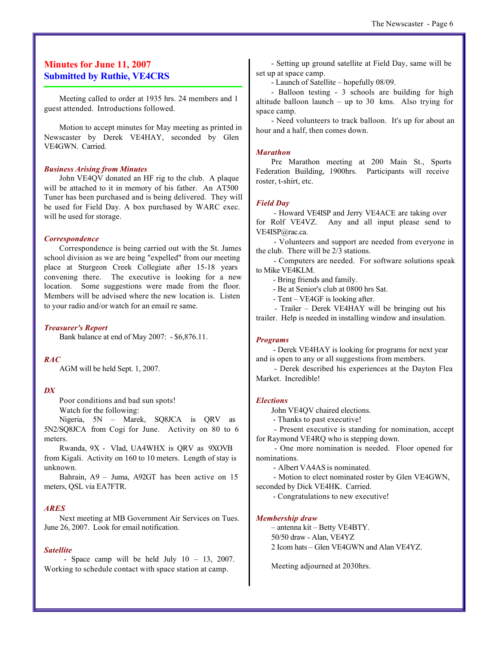#### **Minutes for June 11, 2007 Submitted by Ruthie, VE4CRS**

Meeting called to order at 1935 hrs. 24 members and 1 guest attended. Introductions followed.

Motion to accept minutes for May meeting as printed in Newscaster by Derek VE4HAY, seconded by Glen VE4GWN. Carried.

#### *Business Arising from Minutes*

John VE4QV donated an HF rig to the club. A plaque will be attached to it in memory of his father. An AT500 Tuner has been purchased and is being delivered. They will be used for Field Day. A box purchased by WARC exec. will be used for storage.

#### *Correspondence*

Correspondence is being carried out with the St. James school division as we are being "expelled" from our meeting place at Sturgeon Creek Collegiate after 15-18 years convening there. The executive is looking for a new location. Some suggestions were made from the floor. Members will be advised where the new location is. Listen to your radio and/or watch for an email re same.

#### *Treasurer's Report*

Bank balance at end of May 2007: - \$6,876.11.

#### *RAC*

AGM will be held Sept. 1, 2007.

#### *DX*

Poor conditions and bad sun spots! Watch for the following:

Nigeria, 5N – Marek, SQ8JCA is QRV as 5N2/SQ8JCA from Cogi for June. Activity on 80 to 6 meters.

Rwanda, 9X - Vlad, UA4WHX is QRV as 9XOVB from Kigali. Activity on 160 to 10 meters. Length of stay is unknown.

Bahrain, A9 – Juma, A92GT has been active on 15 meters, QSL via EA7FTR.

#### *ARES*

Next meeting at MB Government Air Services on Tues. June 26, 2007. Look for email notification.

#### *Satellite*

- Space camp will be held July  $10 - 13$ , 2007. Working to schedule contact with space station at camp.

- Setting up ground satellite at Field Day, same will be set up at space camp.

- Launch of Satellite – hopefully 08/09.

- Balloon testing - 3 schools are building for high altitude balloon launch – up to  $30$  kms. Also trying for space camp.

- Need volunteers to track balloon. It's up for about an hour and a half, then comes down.

#### *Marathon*

Pre Marathon meeting at 200 Main St., Sports Federation Building, 1900hrs. Participants will receive roster, t-shirt, etc.

#### *Field Day*

 - Howard VE4ISP and Jerry VE4ACE are taking over for Rolf VE4VZ. Any and all input please send to VE4ISP@rac.ca.

 - Volunteers and support are needed from everyone in the club. There will be 2/3 stations.

 - Computers are needed. For software solutions speak to Mike VE4KLM.

- Bring friends and family.

- Be at Senior's club at 0800 hrs Sat.

- Tent – VE4GF is looking after.

 - Trailer – Derek VE4HAY will be bringing out his trailer. Help is needed in installing window and insulation.

#### *Programs*

 - Derek VE4HAY is looking for programs for next year and is open to any or all suggestions from members.

 - Derek described his experiences at the Dayton Flea Market. Incredible!

#### *Elections*

John VE4QV chaired elections.

- Thanks to past executive!

 - Present executive is standing for nomination, accept for Raymond VE4RQ who is stepping down.

 - One more nomination is needed. Floor opened for nominations.

- Albert VA4AS is nominated.

 - Motion to elect nominated roster by Glen VE4GWN, seconded by Dick VE4HK. Carried.

- Congratulations to new executive!

#### *Membership draw*

– antenna kit – Betty VE4BTY. 50/50 draw - Alan, VE4YZ 2 Icom hats – Glen VE4GWN and Alan VE4YZ.

Meeting adjourned at 2030hrs.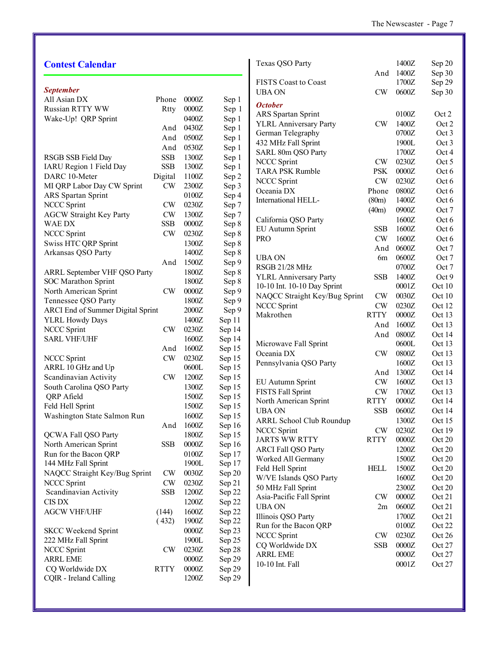| <b>Contest Calendar</b>                        |                             |                  |                  | Texas QSO Party                 |               | 1400Z   | Sep 20 |
|------------------------------------------------|-----------------------------|------------------|------------------|---------------------------------|---------------|---------|--------|
|                                                |                             |                  |                  |                                 | And           | 1400Z   | Sep 30 |
|                                                |                             |                  |                  | <b>FISTS Coast to Coast</b>     |               | 1700Z   | Sep 29 |
| <b>September</b>                               |                             |                  |                  | <b>UBA ON</b>                   | <b>CW</b>     | 0600Z   | Sep 30 |
| All Asian DX                                   | Phone                       | 0000Z            | Sep 1            | <b>October</b>                  |               |         |        |
| Russian RTTY WW                                | Rtty                        | 0000Z            | Sep 1            | ARS Spartan Sprint              |               | 0100Z   | Oct 2  |
| Wake-Up! QRP Sprint                            |                             | 0400Z            | Sep 1            | <b>YLRL Anniversary Party</b>   | <b>CW</b>     | 1400Z   | Oct 2  |
|                                                | And                         | 0430Z            | Sep 1            | German Telegraphy               |               | 0700Z   | Oct 3  |
|                                                | And                         | 0500Z            | Sep 1            | 432 MHz Fall Sprint             |               | 1900L   | Oct 3  |
|                                                | And                         | 0530Z            | Sep 1            | SARL 80m QSO Party              |               | 1700Z   | Oct 4  |
| RSGB SSB Field Day                             | <b>SSB</b>                  | 1300Z            | Sep 1            | NCCC Sprint                     | <b>CW</b>     | 0230Z   | Oct 5  |
| IARU Region 1 Field Day                        | <b>SSB</b>                  | 1300Z            | Sep 1            | <b>TARA PSK Rumble</b>          | <b>PSK</b>    | $0000Z$ | Oct 6  |
| DARC 10-Meter                                  | Digital                     | 1100Z            | Sep 2            | NCCC Sprint                     | <b>CW</b>     | 0230Z   | Oct 6  |
| MI QRP Labor Day CW Sprint                     | CW                          | 2300Z            | Sep 3            | Oceania DX                      | Phone         | 0800Z   | Oct 6  |
| ARS Spartan Sprint                             |                             | 0100Z            | Sep 4            | International HELL-             | (80m)         | 1400Z   | Oct 6  |
| NCCC Sprint                                    | <b>CW</b>                   | 0230Z            | Sep 7            |                                 | (40m)         | 0900Z   | Oct 7  |
| <b>AGCW Straight Key Party</b>                 | CW                          | 1300Z            | Sep 7            | California QSO Party            |               | 1600Z   | Oct 6  |
| <b>WAEDX</b>                                   | <b>SSB</b>                  | 0000Z            | Sep 8            | EU Autumn Sprint                | <b>SSB</b>    | 1600Z   | Oct 6  |
| <b>NCCC Sprint</b>                             | CW                          | 0230Z            | Sep 8            | <b>PRO</b>                      | <b>CW</b>     | 1600Z   | Oct 6  |
| <b>Swiss HTC QRP Sprint</b>                    |                             | 1300Z            | Sep 8            |                                 | And           | 0600Z   | Oct 7  |
| Arkansas QSO Party                             |                             | 1400Z            | Sep 8            | <b>UBA ON</b>                   | 6m            | 0600Z   | Oct 7  |
|                                                | And                         | 1500Z            | Sep 9            | RSGB 21/28 MHz                  |               | 0700Z   | Oct 7  |
| ARRL September VHF QSO Party                   |                             | 1800Z            | Sep 8            | <b>YLRL Anniversary Party</b>   | <b>SSB</b>    | 1400Z   | Oct 9  |
| <b>SOC</b> Marathon Sprint                     |                             | 1800Z            | Sep 8            | 10-10 Int. 10-10 Day Sprint     |               | 0001Z   | Oct 10 |
| North American Sprint                          | CW                          | 0000Z            | Sep 9            | NAQCC Straight Key/Bug Sprint   | <b>CW</b>     | 0030Z   | Oct 10 |
| Tennessee QSO Party                            |                             | 1800Z            | Sep 9            | NCCC Sprint                     | CW            | 0230Z   | Oct 12 |
| ARCI End of Summer Digital Sprint              |                             | $2000Z$          | Sep 9            | Makrothen                       | <b>RTTY</b>   | $0000Z$ | Oct 13 |
| <b>YLRL Howdy Days</b>                         |                             | 1400Z            | Sep 11           |                                 | And           | 1600Z   | Oct 13 |
| <b>NCCC Sprint</b>                             | $\mathrm{CW}$               | 0230Z            | Sep 14           |                                 | And           | 0800Z   | Oct 14 |
| <b>SARL VHF/UHF</b>                            |                             | 1600Z            | Sep 14           | Microwave Fall Sprint           |               | 0600L   | Oct 13 |
|                                                | And                         | 1600Z            | Sep 15           | Oceania DX                      | <b>CW</b>     | 0800Z   | Oct 13 |
| <b>NCCC Sprint</b>                             | <b>CW</b>                   | 0230Z            | Sep 15           | Pennsylvania QSO Party          |               | 1600Z   | Oct 13 |
| ARRL 10 GHz and Up                             |                             | 0600L            | Sep 15           |                                 | And           | 1300Z   | Oct 14 |
| Scandinavian Activity                          | CW                          | 1200Z            | Sep 15           | EU Autumn Sprint                | <b>CW</b>     | 1600Z   | Oct 13 |
| South Carolina QSO Party                       |                             | 1300Z            | Sep 15           | FISTS Fall Sprint               | CW            | 1700Z   | Oct 13 |
| QRP Afield                                     |                             | 1500Z            | Sep 15           | North American Sprint           | <b>RTTY</b>   | $0000Z$ | Oct 14 |
| Feld Hell Sprint                               |                             | 1500Z            | Sep 15           | <b>UBA ON</b>                   | <b>SSB</b>    | 0600Z   | Oct 14 |
| Washington State Salmon Run                    |                             | 1600Z            | Sep 15           | <b>ARRL School Club Roundup</b> |               | 1300Z   | Oct 15 |
|                                                | And                         | 1600Z            | Sep 16           | <b>NCCC Sprint</b>              | <b>CW</b>     | 0230Z   | Oct 19 |
| QCWA Fall QSO Party                            |                             | 1800Z            | Sep 15           | <b>JARTS WW RTTY</b>            | <b>RTTY</b>   | $0000Z$ | Oct 20 |
| North American Sprint<br>Run for the Bacon QRP | <b>SSB</b>                  | 0000Z            | Sep 16           | <b>ARCI Fall QSO Party</b>      |               | 1200Z   | Oct 20 |
|                                                |                             | 0100Z<br>1900L   | Sep 17           | Worked All Germany              |               | 1500Z   | Oct 20 |
| 144 MHz Fall Sprint                            |                             |                  | Sep 17           | Feld Hell Sprint                | <b>HELL</b>   | 1500Z   | Oct 20 |
| NAQCC Straight Key/Bug Sprint                  | <b>CW</b>                   | 0030Z            | Sep 20           | W/VE Islands QSO Party          |               | 1600Z   | Oct 20 |
| <b>NCCC Sprint</b><br>Scandinavian Activity    | $\mathrm{CW}$<br><b>SSB</b> | 0230Z<br>1200Z   | Sep 21           | 50 MHz Fall Sprint              |               | 2300Z   | Oct 20 |
| <b>CIS DX</b>                                  |                             | 1200Z            | Sep 22           | Asia-Pacific Fall Sprint        | $\mathrm{CW}$ | $0000Z$ | Oct 21 |
| <b>AGCW VHF/UHF</b>                            |                             | 1600Z            | Sep 22           | <b>UBA ON</b>                   | 2m            | 0600Z   | Oct 21 |
|                                                | (144)<br>(432)              | 1900Z            | Sep 22           | Illinois QSO Party              |               | 1700Z   | Oct 21 |
|                                                |                             |                  | Sep 22           | Run for the Bacon QRP           |               | 0100Z   | Oct 22 |
| <b>SKCC Weekend Sprint</b>                     |                             | $0000Z$<br>1900L | Sep 23<br>Sep 25 | <b>NCCC Sprint</b>              | <b>CW</b>     | 0230Z   | Oct 26 |
| 222 MHz Fall Sprint<br><b>NCCC Sprint</b>      | CW                          | 0230Z            | Sep 28           | CQ Worldwide DX                 | <b>SSB</b>    | $0000Z$ | Oct 27 |
| <b>ARRL EME</b>                                |                             | $0000Z$          | Sep 29           | <b>ARRL EME</b>                 |               | $0000Z$ | Oct 27 |
| CQ Worldwide DX                                | <b>RTTY</b>                 | $0000Z$          | Sep 29           | 10-10 Int. Fall                 |               | 0001Z   | Oct 27 |
| CQIR - Ireland Calling                         |                             | 1200Z            | Sep 29           |                                 |               |         |        |
|                                                |                             |                  |                  |                                 |               |         |        |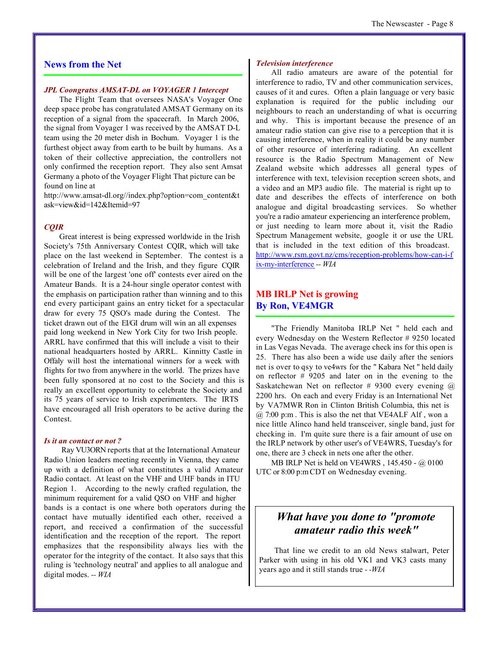#### **News from the Net**

#### *JPL Coongratss AMSAT-DL on VOYAGER 1 Intercept*

The Flight Team that oversees NASA's Voyager One deep space probe has congratulated AMSAT Germany on its reception of a signal from the spacecraft. In March 2006, the signal from Voyager 1 was received by the AMSAT D-L team using the 20 meter dish in Bochum. Voyager 1 is the furthest object away from earth to be built by humans. As a token of their collective appreciation, the controllers not only confirmed the reception report. They also sent Amsat Germany a photo of the Voyager Flight That picture can be found on line at

[http://www.amsat-dl.org//index.php?option=com\\_content&t](http://www.amsat-dl.org//index.php?option=com_content&t) ask=view&id=142&Itemid=97

#### *CQIR*

Great interest is being expressed worldwide in the Irish Society's 75th Anniversary Contest CQIR, which will take place on the last weekend in September. The contest is a celebration of Ireland and the Irish, and they figure CQIR will be one of the largest 'one off' contests ever aired on the Amateur Bands. It is a 24-hour single operator contest with the emphasis on participation rather than winning and to this end every participant gains an entry ticket for a spectacular draw for every 75 QSO's made during the Contest. The ticket drawn out of the EI/GI drum will win an all expenses paid long weekend in New York City for two Irish people. ARRL have confirmed that this will include a visit to their national headquarters hosted by ARRL. Kinnitty Castle in Offaly will host the international winners for a week with flights for two from anywhere in the world. The prizes have been fully sponsored at no cost to the Society and this is really an excellent opportunity to celebrate the Society and its 75 years of service to Irish experimenters. The IRTS have encouraged all Irish operators to be active during the Contest.

#### *Is it an contact or not ?*

 Ray VU3ORN reports that at the International Amateur Radio Union leaders meeting recently in Vienna, they came up with a definition of what constitutes a valid Amateur Radio contact. At least on the VHF and UHF bands in ITU Region 1. According to the newly crafted regulation, the minimum requirement for a valid QSO on VHF and higher bands is a contact is one where both operators during the contact have mutually identified each other, received a report, and received a confirmation of the successful identification and the reception of the report. The report emphasizes that the responsibility always lies with the operator for the integrity of the contact. It also says that this ruling is 'technology neutral' and applies to all analogue and digital modes. *-- WIA*

#### *Television interference*

All radio amateurs are aware of the potential for interference to radio, TV and other communication services, causes of it and cures. Often a plain language or very basic explanation is required for the public including our neighbours to reach an understanding of what is occurring and why. This is important because the presence of an amateur radio station can give rise to a perception that it is causing interference, when in reality it could be any number of other resource of interfering radiating. An excellent resource is the Radio Spectrum Management of New Zealand website which addresses all general types of interference with text, television reception screen shots, and a video and an MP3 audio file. The material is right up to date and describes the effects of interference on both analogue and digital broadcasting services. So whether you're a radio amateur experiencing an interference problem, or just needing to learn more about it, visit the Radio Spectrum Management website, google it or use the URL that is included in the text edition of this broadcast. <http://www.rsm.govt.nz/cms/reception-problems/how-can-i-f> ix-my-interference *-- WIA*

#### **MB IRLP Net is growing By Ron, VE4MGR**

"The Friendly Manitoba IRLP Net " held each and every Wednesday on the Western Reflector # 9250 located in Las Vegas Nevada. The average check ins for this open is 25. There has also been a wide use daily after the seniors net is over to qsy to ve4wrs for the " Kabara Net " held daily on reflector # 9205 and later on in the evening to the Saskatchewan Net on reflector # 9300 every evening  $\omega$ 2200 hrs. On each and every Friday is an International Net by VA7MWR Ron in Clinton British Columbia, this net is  $\omega$  7:00 p:m. This is also the net that VE4ALF Alf, won a nice little Alinco hand held transceiver, single band, just for checking in. I'm quite sure there is a fair amount of use on the IRLP network by other user's of VE4WRS, Tuesday's for one, there are 3 check in nets one after the other.

MB IRLP Net is held on VE4WRS , 145.450 - @ 0100 UTC or 8:00 p:m CDT on Wednesday evening.

#### *What have you done to "promote amateur radio this week"*

That line we credit to an old News stalwart, Peter Parker with using in his old VK1 and VK3 casts many years ago and it still stands true *- -WIA*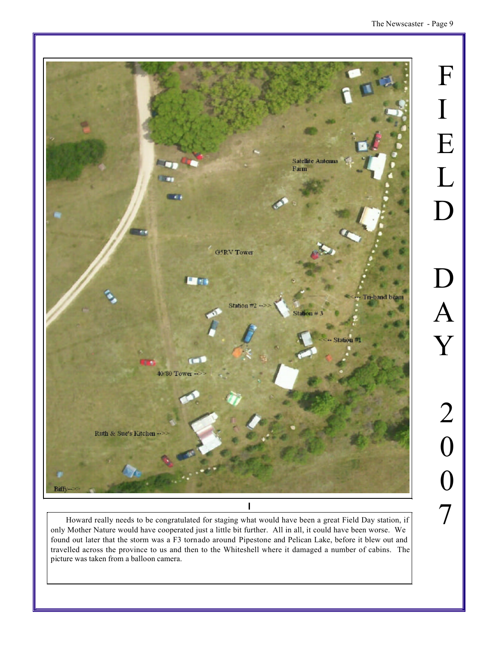

Howard really needs to be congratulated for staging what would have been a great Field Day station, if only Mother Nature would have cooperated just a little bit further. All in all, it could have been worse. We found out later that the storm was a F3 tornado around Pipestone and Pelican Lake, before it blew out and travelled across the province to us and then to the Whiteshell where it damaged a number of cabins. The picture was taken from a balloon camera.